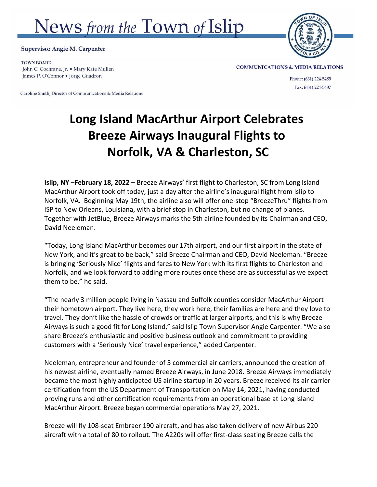## News from the Town of Islip



**Supervisor Angie M. Carpenter** 

**TOWN BOARD** John C. Cochrane, Jr. • Mary Kate Mullen James P. O'Connor • Jorge Guadron

Caroline Smith, Director of Communications & Media Relations

**COMMUNICATIONS & MEDIA RELATIONS** 

Phone: (631) 224-5485 Fax: (631) 224-5487

## **Long Island MacArthur Airport Celebrates Breeze Airways Inaugural Flights to Norfolk, VA & Charleston, SC**

**Islip, NY –February 18, 2022 –** Breeze Airways' first flight to Charleston, SC from Long Island MacArthur Airport took off today, just a day after the airline's inaugural flight from Islip to Norfolk, VA. Beginning May 19th, the airline also will offer one-stop "BreezeThru" flights from ISP to New Orleans, Louisiana, with a brief stop in Charleston, but no change of planes. Together with JetBlue, Breeze Airways marks the 5th airline founded by its Chairman and CEO, David Neeleman.

"Today, Long Island MacArthur becomes our 17th airport, and our first airport in the state of New York, and it's great to be back," said Breeze Chairman and CEO, David Neeleman. "Breeze is bringing 'Seriously Nice' flights and fares to New York with its first flights to Charleston and Norfolk, and we look forward to adding more routes once these are as successful as we expect them to be," he said.

"The nearly 3 million people living in Nassau and Suffolk counties consider MacArthur Airport their hometown airport. They live here, they work here, their families are here and they love to travel. They don't like the hassle of crowds or traffic at larger airports, and this is why Breeze Airways is such a good fit for Long Island," said Islip Town Supervisor Angie Carpenter. "We also share Breeze's enthusiastic and positive business outlook and commitment to providing customers with a 'Seriously Nice' travel experience," added Carpenter.

Neeleman, entrepreneur and founder of 5 commercial air carriers, announced the creation of his newest airline, eventually named Breeze Airways, in June 2018. Breeze Airways immediately became the most highly anticipated US airline startup in 20 years. Breeze received its air carrier certification from the US Department of Transportation on May 14, 2021, having conducted proving runs and other certification requirements from an operational base at Long Island MacArthur Airport. Breeze began commercial operations May 27, 2021.

Breeze will fly 108-seat Embraer 190 aircraft, and has also taken delivery of new Airbus 220 aircraft with a total of 80 to rollout. The A220s will offer first-class seating Breeze calls the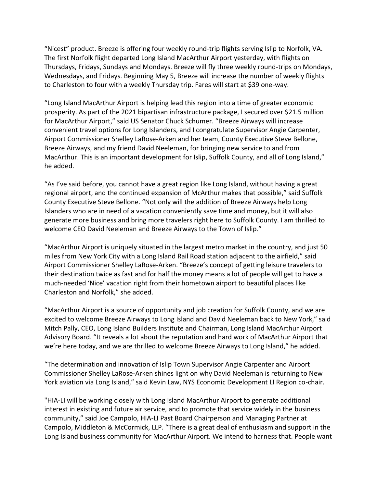"Nicest" product. Breeze is offering four weekly round-trip flights serving Islip to Norfolk, VA. The first Norfolk flight departed Long Island MacArthur Airport yesterday, with flights on Thursdays, Fridays, Sundays and Mondays. Breeze will fly three weekly round-trips on Mondays, Wednesdays, and Fridays. Beginning May 5, Breeze will increase the number of weekly flights to Charleston to four with a weekly Thursday trip. Fares will start at \$39 one-way.

"Long Island MacArthur Airport is helping lead this region into a time of greater economic prosperity. As part of the 2021 bipartisan infrastructure package, I secured over \$21.5 million for MacArthur Airport," said US Senator Chuck Schumer. "Breeze Airways will increase convenient travel options for Long Islanders, and I congratulate Supervisor Angie Carpenter, Airport Commissioner Shelley LaRose-Arken and her team, County Executive Steve Bellone, Breeze Airways, and my friend David Neeleman, for bringing new service to and from MacArthur. This is an important development for Islip, Suffolk County, and all of Long Island," he added.

"As I've said before, you cannot have a great region like Long Island, without having a great regional airport, and the continued expansion of McArthur makes that possible," said Suffolk County Executive Steve Bellone. "Not only will the addition of Breeze Airways help Long Islanders who are in need of a vacation conveniently save time and money, but it will also generate more business and bring more travelers right here to Suffolk County. I am thrilled to welcome CEO David Neeleman and Breeze Airways to the Town of Islip."

"MacArthur Airport is uniquely situated in the largest metro market in the country, and just 50 miles from New York City with a Long Island Rail Road station adjacent to the airfield," said Airport Commissioner Shelley LaRose-Arken. "Breeze's concept of getting leisure travelers to their destination twice as fast and for half the money means a lot of people will get to have a much-needed 'Nice' vacation right from their hometown airport to beautiful places like Charleston and Norfolk," she added.

"MacArthur Airport is a source of opportunity and job creation for Suffolk County, and we are excited to welcome Breeze Airways to Long Island and David Neeleman back to New York," said Mitch Pally, CEO, Long Island Builders Institute and Chairman, Long Island MacArthur Airport Advisory Board. "It reveals a lot about the reputation and hard work of MacArthur Airport that we're here today, and we are thrilled to welcome Breeze Airways to Long Island," he added.

"The determination and innovation of Islip Town Supervisor Angie Carpenter and Airport Commissioner Shelley LaRose-Arken shines light on why David Neeleman is returning to New York aviation via Long Island," said Kevin Law, NYS Economic Development LI Region co-chair.

"HIA-LI will be working closely with Long Island MacArthur Airport to generate additional interest in existing and future air service, and to promote that service widely in the business community," said Joe Campolo, HIA-LI Past Board Chairperson and Managing Partner at Campolo, Middleton & McCormick, LLP. "There is a great deal of enthusiasm and support in the Long Island business community for MacArthur Airport. We intend to harness that. People want